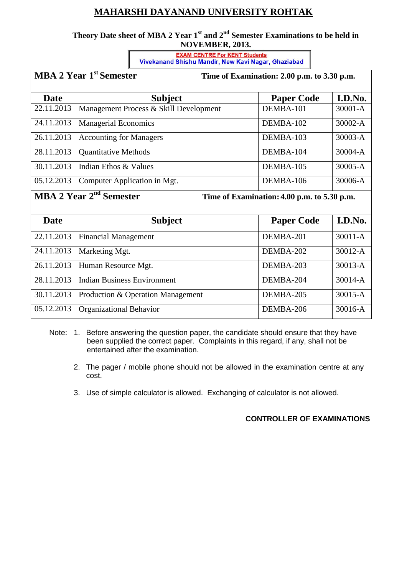## **MAHARSHI DAYANAND UNIVERSITY ROHTAK**

### **Theory Date sheet of MBA 2 Year 1st and 2nd Semester Examinations to be held in NOVEMBER, 2013.**

**CENTRE For KENT Students**<br>**Vivekanand Shishu Mandir, New Kavi Nagar, Ghaziabad** 

|                                                                                | <b>MBA 2 Year 1st Semester</b>         | Time of Examination: 2.00 p.m. to 3.30 p.m. |             |  |
|--------------------------------------------------------------------------------|----------------------------------------|---------------------------------------------|-------------|--|
| <b>Date</b>                                                                    | <b>Subject</b>                         | <b>Paper Code</b>                           | I.D.No.     |  |
| 22.11.2013                                                                     | Management Process & Skill Development | DEMBA-101                                   | $30001 - A$ |  |
| 24.11.2013                                                                     | <b>Managerial Economics</b>            | DEMBA-102                                   | $30002-A$   |  |
| 26.11.2013                                                                     | <b>Accounting for Managers</b>         | DEMBA-103                                   | 30003-A     |  |
| 28.11.2013                                                                     | <b>Quantitative Methods</b>            | DEMBA-104                                   | 30004-A     |  |
| 30.11.2013                                                                     | Indian Ethos & Values                  | DEMBA-105                                   | 30005-A     |  |
| 05.12.2013                                                                     | Computer Application in Mgt.           | DEMBA-106                                   | 30006-A     |  |
| $\mathbf{M} \mathbf{D} \mathbf{A} \mathbf{A} \mathbf{V}$<br>m.<br>$\mathbf{r}$ |                                        |                                             |             |  |

#### **MBA 2 Year 2**

**Time of Examination: 4.00 p.m. to 5.30 p.m.** 

| <b>Date</b> | <b>Subject</b>                     | <b>Paper Code</b> | I.D.No.     |  |
|-------------|------------------------------------|-------------------|-------------|--|
| 22.11.2013  | <b>Financial Management</b>        | DEMBA-201         | $30011 - A$ |  |
| 24.11.2013  | Marketing Mgt.                     | DEMBA-202         | 30012-A     |  |
| 26.11.2013  | Human Resource Mgt.                | DEMBA-203         | $30013 - A$ |  |
| 28.11.2013  | <b>Indian Business Environment</b> | DEMBA-204         | $30014 - A$ |  |
| 30.11.2013  | Production & Operation Management  | DEMBA-205         | 30015-A     |  |
| 05.12.2013  | <b>Organizational Behavior</b>     | DEMBA-206         | 30016-A     |  |

- Note: 1. Before answering the question paper, the candidate should ensure that they have been supplied the correct paper. Complaints in this regard, if any, shall not be entertained after the examination.
	- 2. The pager / mobile phone should not be allowed in the examination centre at any cost.
	- 3. Use of simple calculator is allowed. Exchanging of calculator is not allowed.

### **CONTROLLER OF EXAMINATIONS**